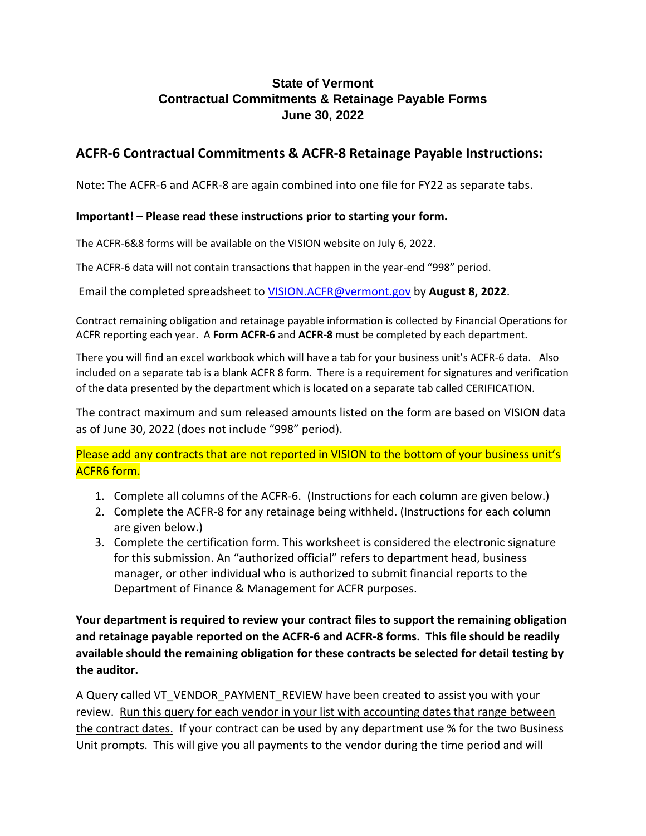### **State of Vermont Contractual Commitments & Retainage Payable Forms June 30, 2022**

### **ACFR-6 Contractual Commitments & ACFR-8 Retainage Payable Instructions:**

Note: The ACFR-6 and ACFR-8 are again combined into one file for FY22 as separate tabs.

#### **Important! – Please read these instructions prior to starting your form.**

The ACFR-6&8 forms will be available on the VISION website on July 6, 2022.

The ACFR-6 data will not contain transactions that happen in the year-end "998" period.

Email the completed spreadsheet to VISION.ACFR@vermont.gov by **August 8, 2022**.

Contract remaining obligation and retainage payable information is collected by Financial Operations for ACFR reporting each year. A **Form ACFR-6** and **ACFR-8** must be completed by each department.

There you will find an excel workbook which will have a tab for your business unit's ACFR-6 data. Also included on a separate tab is a blank ACFR 8 form. There is a requirement for signatures and verification of the data presented by the department which is located on a separate tab called CERIFICATION.

The contract maximum and sum released amounts listed on the form are based on VISION data as of June 30, 2022 (does not include "998" period).

Please add any contracts that are not reported in VISION to the bottom of your business unit's ACFR6 form.

- 1. Complete all columns of the ACFR-6. (Instructions for each column are given below.)
- 2. Complete the ACFR-8 for any retainage being withheld. (Instructions for each column are given below.)
- 3. Complete the certification form. This worksheet is considered the electronic signature for this submission. An "authorized official" refers to department head, business manager, or other individual who is authorized to submit financial reports to the Department of Finance & Management for ACFR purposes.

**Your department is required to review your contract files to support the remaining obligation and retainage payable reported on the ACFR-6 and ACFR-8 forms. This file should be readily available should the remaining obligation for these contracts be selected for detail testing by the auditor.**

A Query called VT\_VENDOR\_PAYMENT\_REVIEW have been created to assist you with your review. Run this query for each vendor in your list with accounting dates that range between the contract dates. If your contract can be used by any department use % for the two Business Unit prompts. This will give you all payments to the vendor during the time period and will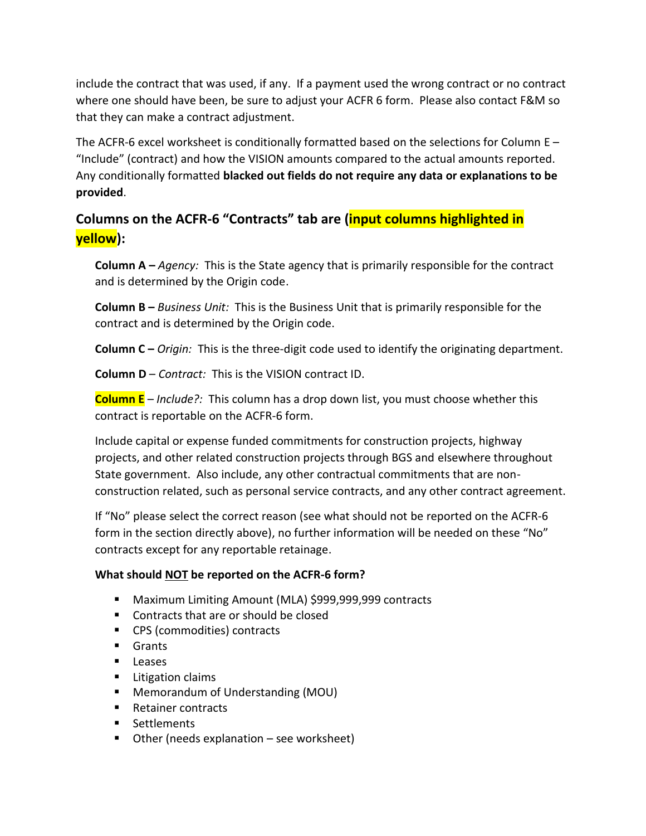include the contract that was used, if any. If a payment used the wrong contract or no contract where one should have been, be sure to adjust your ACFR 6 form. Please also contact F&M so that they can make a contract adjustment.

The ACFR-6 excel worksheet is conditionally formatted based on the selections for Column E – "Include" (contract) and how the VISION amounts compared to the actual amounts reported. Any conditionally formatted **blacked out fields do not require any data or explanations to be provided**.

# **Columns on the ACFR-6 "Contracts" tab are (input columns highlighted in yellow):**

**Column A –** *Agency:* This is the State agency that is primarily responsible for the contract and is determined by the Origin code.

**Column B –** *Business Unit:* This is the Business Unit that is primarily responsible for the contract and is determined by the Origin code.

**Column C –** *Origin:* This is the three-digit code used to identify the originating department.

**Column D** – *Contract:* This is the VISION contract ID.

**Column E** – *Include?:* This column has a drop down list, you must choose whether this contract is reportable on the ACFR-6 form.

Include capital or expense funded commitments for construction projects, highway projects, and other related construction projects through BGS and elsewhere throughout State government. Also include, any other contractual commitments that are nonconstruction related, such as personal service contracts, and any other contract agreement.

If "No" please select the correct reason (see what should not be reported on the ACFR-6 form in the section directly above), no further information will be needed on these "No" contracts except for any reportable retainage.

### **What should NOT be reported on the ACFR-6 form?**

- Maximum Limiting Amount (MLA) \$999,999,999 contracts
- Contracts that are or should be closed
- CPS (commodities) contracts
- Grants
- Leases
- Litigation claims
- Memorandum of Understanding (MOU)
- Retainer contracts
- Settlements
- $\blacksquare$  Other (needs explanation see worksheet)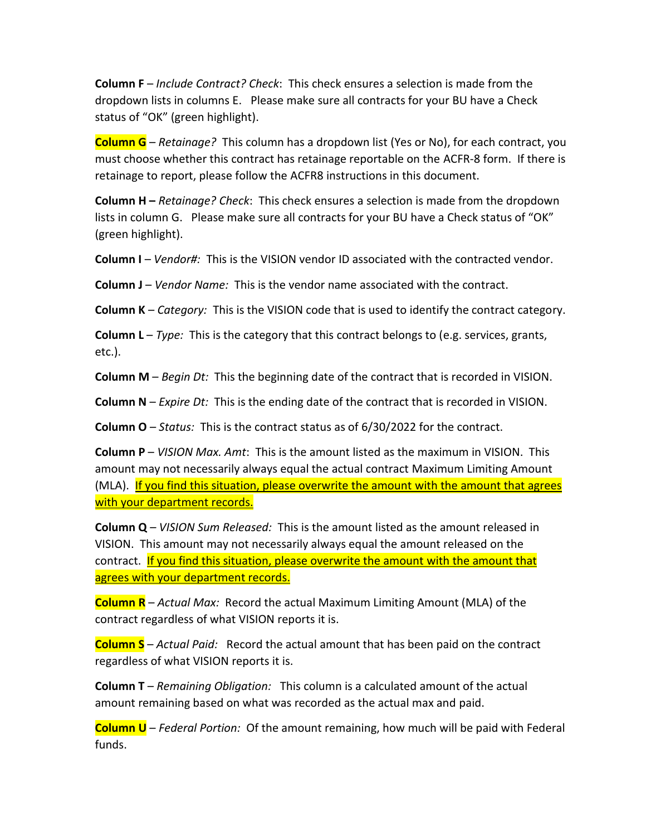**Column F** – *Include Contract? Check*: This check ensures a selection is made from the dropdown lists in columns E. Please make sure all contracts for your BU have a Check status of "OK" (green highlight).

**Column G** – *Retainage?* This column has a dropdown list (Yes or No), for each contract, you must choose whether this contract has retainage reportable on the ACFR-8 form. If there is retainage to report, please follow the ACFR8 instructions in this document.

**Column H –** *Retainage? Check*: This check ensures a selection is made from the dropdown lists in column G. Please make sure all contracts for your BU have a Check status of "OK" (green highlight).

**Column I** – *Vendor#:* This is the VISION vendor ID associated with the contracted vendor.

**Column J** – *Vendor Name:* This is the vendor name associated with the contract.

**Column K** – *Category:* This is the VISION code that is used to identify the contract category.

**Column L** – *Type:* This is the category that this contract belongs to (e.g. services, grants, etc.).

**Column M** – *Begin Dt:* This the beginning date of the contract that is recorded in VISION.

**Column N** – *Expire Dt:* This is the ending date of the contract that is recorded in VISION.

**Column O** – *Status:* This is the contract status as of 6/30/2022 for the contract.

**Column P** – *VISION Max. Amt*: This is the amount listed as the maximum in VISION. This amount may not necessarily always equal the actual contract Maximum Limiting Amount (MLA). If you find this situation, please overwrite the amount with the amount that agrees with your department records.

**Column Q** – *VISION Sum Released:* This is the amount listed as the amount released in VISION. This amount may not necessarily always equal the amount released on the contract. If you find this situation, please overwrite the amount with the amount that agrees with your department records.

**Column R** – *Actual Max:* Record the actual Maximum Limiting Amount (MLA) of the contract regardless of what VISION reports it is.

**Column S** – *Actual Paid:* Record the actual amount that has been paid on the contract regardless of what VISION reports it is.

**Column T** – *Remaining Obligation:* This column is a calculated amount of the actual amount remaining based on what was recorded as the actual max and paid.

**Column U** – *Federal Portion:* Of the amount remaining, how much will be paid with Federal funds.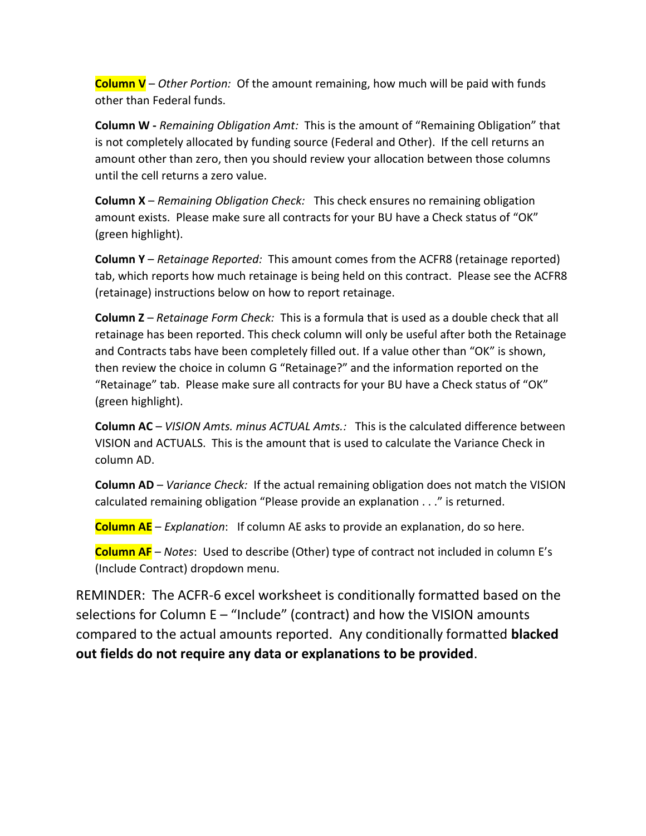**Column V** – *Other Portion:* Of the amount remaining, how much will be paid with funds other than Federal funds.

**Column W -** *Remaining Obligation Amt:* This is the amount of "Remaining Obligation" that is not completely allocated by funding source (Federal and Other). If the cell returns an amount other than zero, then you should review your allocation between those columns until the cell returns a zero value.

**Column X** – *Remaining Obligation Check:* This check ensures no remaining obligation amount exists. Please make sure all contracts for your BU have a Check status of "OK" (green highlight).

**Column Y** – *Retainage Reported:* This amount comes from the ACFR8 (retainage reported) tab, which reports how much retainage is being held on this contract. Please see the ACFR8 (retainage) instructions below on how to report retainage.

**Column Z** – *Retainage Form Check:* This is a formula that is used as a double check that all retainage has been reported. This check column will only be useful after both the Retainage and Contracts tabs have been completely filled out. If a value other than "OK" is shown, then review the choice in column G "Retainage?" and the information reported on the "Retainage" tab. Please make sure all contracts for your BU have a Check status of "OK" (green highlight).

**Column AC** – *VISION Amts. minus ACTUAL Amts.:* This is the calculated difference between VISION and ACTUALS. This is the amount that is used to calculate the Variance Check in column AD.

**Column AD** – *Variance Check:* If the actual remaining obligation does not match the VISION calculated remaining obligation "Please provide an explanation . . ." is returned.

**Column AE** – *Explanation*: If column AE asks to provide an explanation, do so here.

**Column AF** – *Notes*: Used to describe (Other) type of contract not included in column E's (Include Contract) dropdown menu.

REMINDER: The ACFR-6 excel worksheet is conditionally formatted based on the selections for Column E – "Include" (contract) and how the VISION amounts compared to the actual amounts reported. Any conditionally formatted **blacked out fields do not require any data or explanations to be provided**.